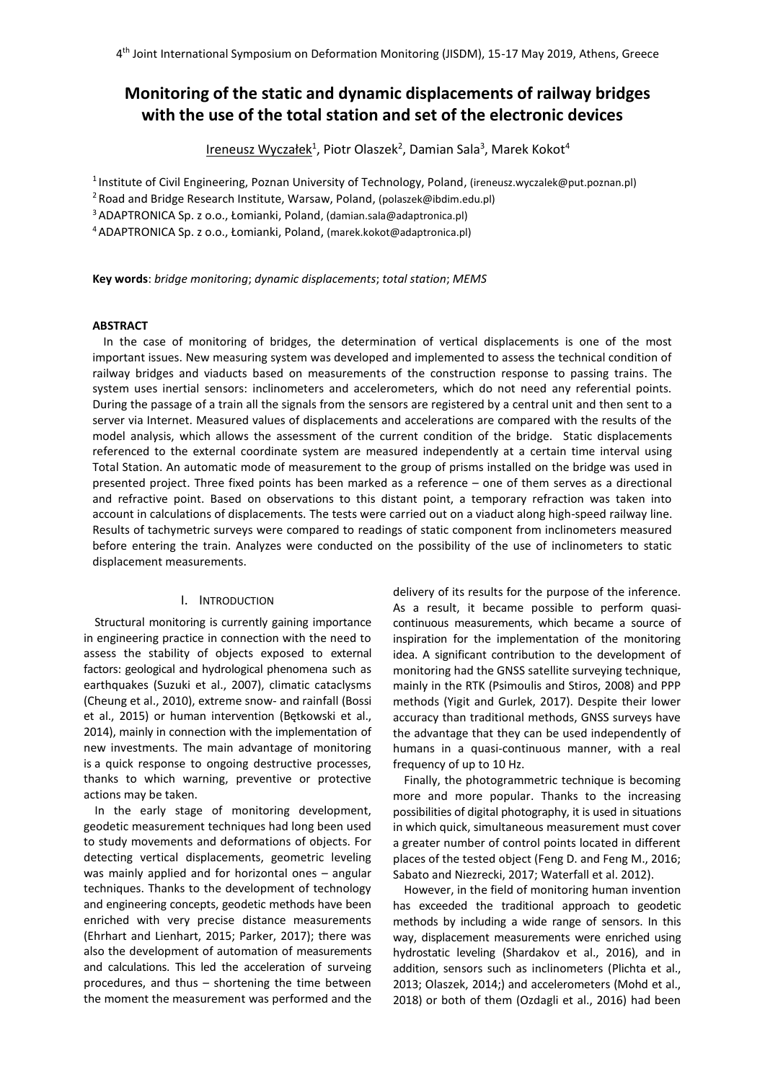# **Monitoring of the static and dynamic displacements of railway bridges with the use of the total station and set of the electronic devices**

<u>Ireneusz Wyczałek</u><sup>1</sup>, Piotr Olaszek<sup>2</sup>, Damian Sala<sup>3</sup>, Marek Kokot<sup>4</sup>

<sup>1</sup>Institute of Civil Engineering, Poznan University of Technology, Poland, (ireneusz.wyczalek@put.poznan.pl)

<sup>2</sup>Road and Bridge Research Institute, Warsaw, Poland, (polaszek@ibdim.edu.pl)

<sup>3</sup>ADAPTRONICA Sp. z o.o., Łomianki, Poland, (damian.sala@adaptronica.pl)

<sup>4</sup>ADAPTRONICA Sp. z o.o., Łomianki, Poland, (marek.kokot@adaptronica.pl)

**Key words**: *bridge monitoring*; *dynamic displacements*; *total station*; *MEMS*

## **ABSTRACT**

In the case of monitoring of bridges, the determination of vertical displacements is one of the most important issues. New measuring system was developed and implemented to assess the technical condition of railway bridges and viaducts based on measurements of the construction response to passing trains. The system uses inertial sensors: inclinometers and accelerometers, which do not need any referential points. During the passage of a train all the signals from the sensors are registered by a central unit and then sent to a server via Internet. Measured values of displacements and accelerations are compared with the results of the model analysis, which allows the assessment of the current condition of the bridge. Static displacements referenced to the external coordinate system are measured independently at a certain time interval using Total Station. An automatic mode of measurement to the group of prisms installed on the bridge was used in presented project. Three fixed points has been marked as a reference – one of them serves as a directional and refractive point. Based on observations to this distant point, a temporary refraction was taken into account in calculations of displacements. The tests were carried out on a viaduct along high-speed railway line. Results of tachymetric surveys were compared to readings of static component from inclinometers measured before entering the train. Analyzes were conducted on the possibility of the use of inclinometers to static displacement measurements.

# I. INTRODUCTION

Structural monitoring is currently gaining importance in engineering practice in connection with the need to assess the stability of objects exposed to external factors: geological and hydrological phenomena such as earthquakes (Suzuki et al., 2007), climatic cataclysms (Cheung et al., 2010), extreme snow- and rainfall (Bossi et al., 2015) or human intervention (Bętkowski et al., 2014), mainly in connection with the implementation of new investments. The main advantage of monitoring is a quick response to ongoing destructive processes, thanks to which warning, preventive or protective actions may be taken.

In the early stage of monitoring development, geodetic measurement techniques had long been used to study movements and deformations of objects. For detecting vertical displacements, geometric leveling was mainly applied and for horizontal ones – angular techniques. Thanks to the development of technology and engineering concepts, geodetic methods have been enriched with very precise distance measurements (Ehrhart and Lienhart, 2015; Parker, 2017); there was also the development of automation of measurements and calculations. This led the acceleration of surveing procedures, and thus – shortening the time between the moment the measurement was performed and the delivery of its results for the purpose of the inference. As a result, it became possible to perform quasicontinuous measurements, which became a source of inspiration for the implementation of the monitoring idea. A significant contribution to the development of monitoring had the GNSS satellite surveying technique, mainly in the RTK (Psimoulis and Stiros, 2008) and PPP methods (Yigit and Gurlek, 2017). Despite their lower accuracy than traditional methods, GNSS surveys have the advantage that they can be used independently of humans in a quasi-continuous manner, with a real frequency of up to 10 Hz.

Finally, the photogrammetric technique is becoming more and more popular. Thanks to the increasing possibilities of digital photography, it is used in situations in which quick, simultaneous measurement must cover a greater number of control points located in different places of the tested object (Feng D. and Feng M., 2016; Sabato and Niezrecki, 2017; Waterfall et al. 2012).

However, in the field of monitoring human invention has exceeded the traditional approach to geodetic methods by including a wide range of sensors. In this way, displacement measurements were enriched using hydrostatic leveling (Shardakov et al., 2016), and in addition, sensors such as inclinometers (Plichta et al., 2013; Olaszek, 2014;) and accelerometers (Mohd et al., 2018) or both of them (Ozdagli et al., 2016) had been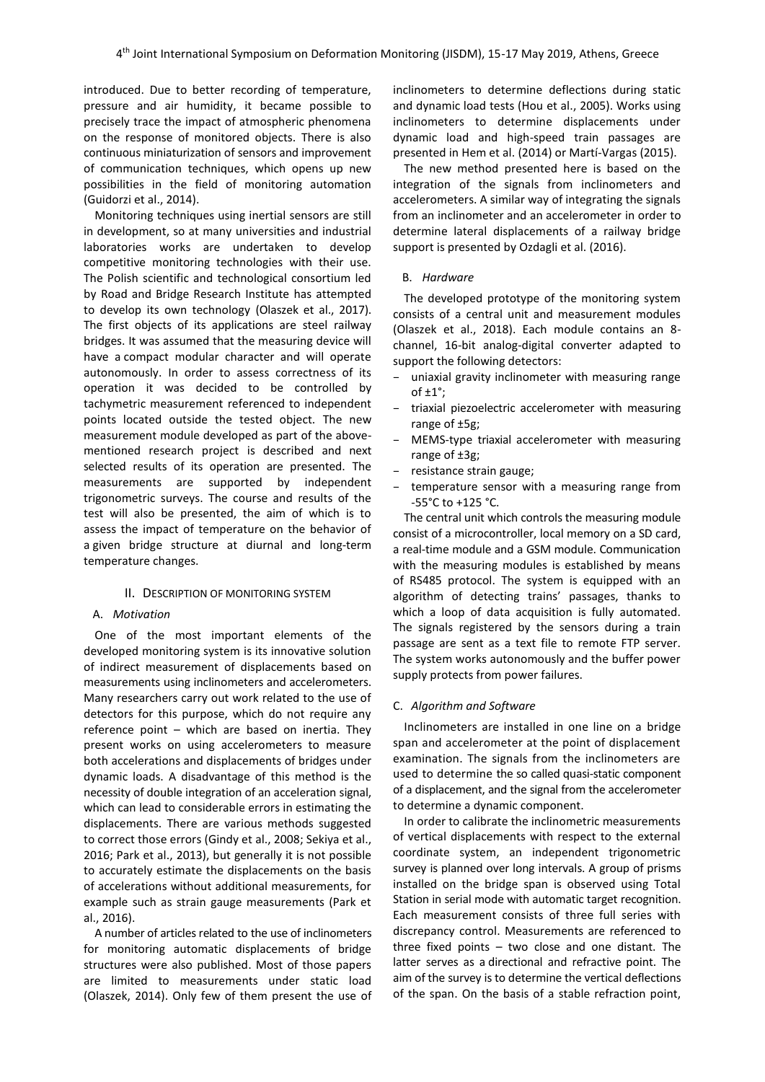introduced. Due to better recording of temperature, pressure and air humidity, it became possible to precisely trace the impact of atmospheric phenomena on the response of monitored objects. There is also continuous miniaturization of sensors and improvement of communication techniques, which opens up new possibilities in the field of monitoring automation (Guidorzi et al., 2014).

Monitoring techniques using inertial sensors are still in development, so at many universities and industrial laboratories works are undertaken to develop competitive monitoring technologies with their use. The Polish scientific and technological consortium led by Road and Bridge Research Institute has attempted to develop its own technology (Olaszek et al., 2017). The first objects of its applications are steel railway bridges. It was assumed that the measuring device will have a compact modular character and will operate autonomously. In order to assess correctness of its operation it was decided to be controlled by tachymetric measurement referenced to independent points located outside the tested object. The new measurement module developed as part of the abovementioned research project is described and next selected results of its operation are presented. The measurements are supported by independent trigonometric surveys. The course and results of the test will also be presented, the aim of which is to assess the impact of temperature on the behavior of a given bridge structure at diurnal and long-term temperature changes.

## II. DESCRIPTION OF MONITORING SYSTEM

## A. *Motivation*

One of the most important elements of the developed monitoring system is its innovative solution of indirect measurement of displacements based on measurements using inclinometers and accelerometers. Many researchers carry out work related to the use of detectors for this purpose, which do not require any reference point – which are based on inertia. They present works on using accelerometers to measure both accelerations and displacements of bridges under dynamic loads. A disadvantage of this method is the necessity of double integration of an acceleration signal, which can lead to considerable errors in estimating the displacements. There are various methods suggested to correct those errors (Gindy et al., 2008; Sekiya et al., 2016; Park et al., 2013), but generally it is not possible to accurately estimate the displacements on the basis of accelerations without additional measurements, for example such as strain gauge measurements (Park et al., 2016).

A number of articles related to the use of inclinometers for monitoring automatic displacements of bridge structures were also published. Most of those papers are limited to measurements under static load (Olaszek, 2014). Only few of them present the use of inclinometers to determine deflections during static and dynamic load tests (Hou et al., 2005). Works using inclinometers to determine displacements under dynamic load and high-speed train passages are presented in Hem et al. (2014) or Martí-Vargas (2015).

The new method presented here is based on the integration of the signals from inclinometers and accelerometers. A similar way of integrating the signals from an inclinometer and an accelerometer in order to determine lateral displacements of a railway bridge support is presented by Ozdagli et al. (2016).

#### B. *Hardware*

The developed prototype of the monitoring system consists of a central unit and measurement modules (Olaszek et al., 2018). Each module contains an 8 channel, 16-bit analog-digital converter adapted to support the following detectors:

- uniaxial gravity inclinometer with measuring range of  $\pm 1^{\circ}$ :
- triaxial piezoelectric accelerometer with measuring range of ±5g;
- MEMS-type triaxial accelerometer with measuring range of ±3g;
- resistance strain gauge;
- temperature sensor with a measuring range from -55°C to +125 °C.

The central unit which controls the measuring module consist of a microcontroller, local memory on a SD card, a real-time module and a GSM module. Communication with the measuring modules is established by means of RS485 protocol. The system is equipped with an algorithm of detecting trains' passages, thanks to which a loop of data acquisition is fully automated. The signals registered by the sensors during a train passage are sent as a text file to remote FTP server. The system works autonomously and the buffer power supply protects from power failures.

#### C. *Algorithm and Software*

Inclinometers are installed in one line on a bridge span and accelerometer at the point of displacement examination. The signals from the inclinometers are used to determine the so called quasi-static component of a displacement, and the signal from the accelerometer to determine a dynamic component.

In order to calibrate the inclinometric measurements of vertical displacements with respect to the external coordinate system, an independent trigonometric survey is planned over long intervals. A group of prisms installed on the bridge span is observed using Total Station in serial mode with automatic target recognition. Each measurement consists of three full series with discrepancy control. Measurements are referenced to three fixed points – two close and one distant. The latter serves as a directional and refractive point. The aim of the survey is to determine the vertical deflections of the span. On the basis of a stable refraction point,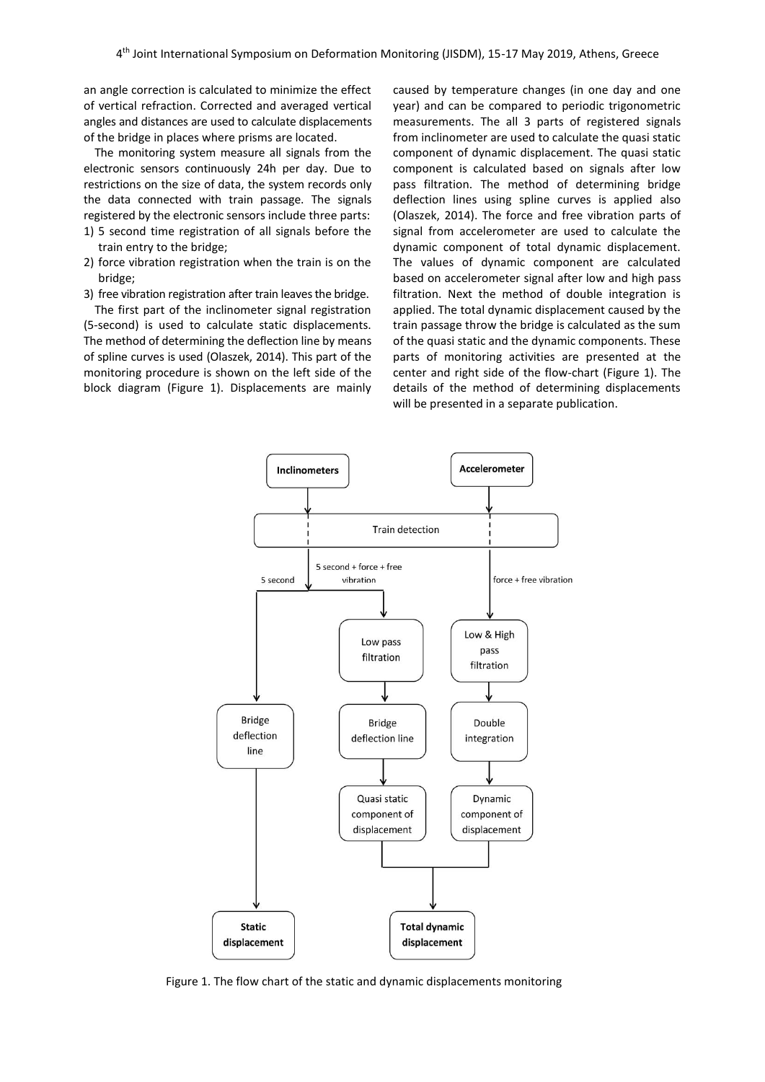an angle correction is calculated to minimize the effect of vertical refraction. Corrected and averaged vertical angles and distances are used to calculate displacements of the bridge in places where prisms are located.

The monitoring system measure all signals from the electronic sensors continuously 24h per day. Due to restrictions on the size of data, the system records only the data connected with train passage. The signals registered by the electronic sensors include three parts: 1) 5 second time registration of all signals before the

- train entry to the bridge;
- 2) force vibration registration when the train is on the bridge;
- 3) free vibration registration after train leaves the bridge.

The first part of the inclinometer signal registration (5-second) is used to calculate static displacements. The method of determining the deflection line by means of spline curves is used (Olaszek, 2014). This part of the monitoring procedure is shown on the left side of the block diagram (Figure 1). Displacements are mainly caused by temperature changes (in one day and one year) and can be compared to periodic trigonometric measurements. The all 3 parts of registered signals from inclinometer are used to calculate the quasi static component of dynamic displacement. The quasi static component is calculated based on signals after low pass filtration. The method of determining bridge deflection lines using spline curves is applied also (Olaszek, 2014). The force and free vibration parts of signal from accelerometer are used to calculate the dynamic component of total dynamic displacement. The values of dynamic component are calculated based on accelerometer signal after low and high pass filtration. Next the method of double integration is applied. The total dynamic displacement caused by the train passage throw the bridge is calculated as the sum of the quasi static and the dynamic components. These parts of monitoring activities are presented at the center and right side of the flow-chart (Figure 1). The details of the method of determining displacements will be presented in a separate publication.



Figure 1. The flow chart of the static and dynamic displacements monitoring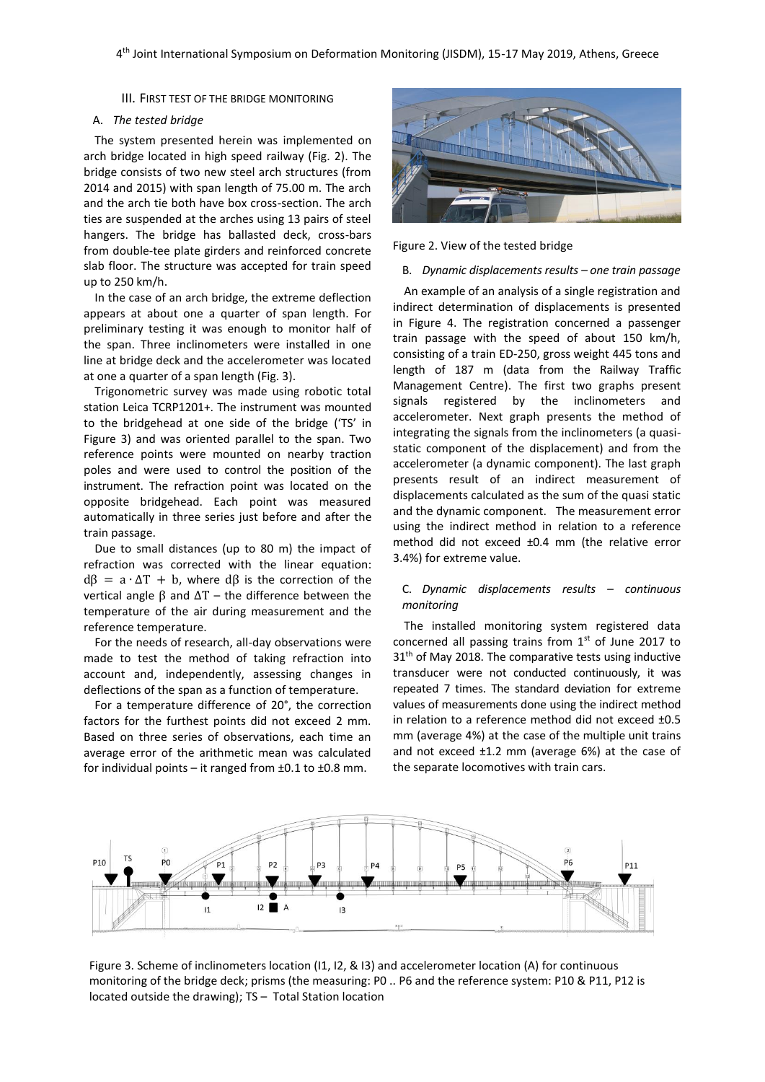III. FIRST TEST OF THE BRIDGE MONITORING

#### A. *The tested bridge*

The system presented herein was implemented on arch bridge located in high speed railway (Fig. 2). The bridge consists of two new steel arch structures (from 2014 and 2015) with span length of 75.00 m. The arch and the arch tie both have box cross-section. The arch ties are suspended at the arches using 13 pairs of steel hangers. The bridge has ballasted deck, cross-bars from double-tee plate girders and reinforced concrete slab floor. The structure was accepted for train speed up to 250 km/h.

In the case of an arch bridge, the extreme deflection appears at about one a quarter of span length. For preliminary testing it was enough to monitor half of the span. Three inclinometers were installed in one line at bridge deck and the accelerometer was located at one a quarter of a span length (Fig. 3).

Trigonometric survey was made using robotic total station Leica TCRP1201+. The instrument was mounted to the bridgehead at one side of the bridge ('TS' in Figure 3) and was oriented parallel to the span. Two reference points were mounted on nearby traction poles and were used to control the position of the instrument. The refraction point was located on the opposite bridgehead. Each point was measured automatically in three series just before and after the train passage.

Due to small distances (up to 80 m) the impact of refraction was corrected with the linear equation:  $d\beta = a \cdot \Delta T + b$ , where d $\beta$  is the correction of the vertical angle  $β$  and  $ΔT -$  the difference between the temperature of the air during measurement and the reference temperature.

For the needs of research, all-day observations were made to test the method of taking refraction into account and, independently, assessing changes in deflections of the span as a function of temperature.

For a temperature difference of 20°, the correction factors for the furthest points did not exceed 2 mm. Based on three series of observations, each time an average error of the arithmetic mean was calculated for individual points – it ranged from  $\pm 0.1$  to  $\pm 0.8$  mm.



Figure 2. View of the tested bridge

#### B. *Dynamic displacements results – one train passage*

An example of an analysis of a single registration and indirect determination of displacements is presented in Figure 4. The registration concerned a passenger train passage with the speed of about 150 km/h, consisting of a train ED-250, gross weight 445 tons and length of 187 m (data from the Railway Traffic Management Centre). The first two graphs present signals registered by the inclinometers and accelerometer. Next graph presents the method of integrating the signals from the inclinometers (a quasistatic component of the displacement) and from the accelerometer (a dynamic component). The last graph presents result of an indirect measurement of displacements calculated as the sum of the quasi static and the dynamic component. The measurement error using the indirect method in relation to a reference method did not exceed ±0.4 mm (the relative error 3.4%) for extreme value.

## C. *Dynamic displacements results – continuous monitoring*

The installed monitoring system registered data concerned all passing trains from  $1<sup>st</sup>$  of June 2017 to  $31<sup>th</sup>$  of May 2018. The comparative tests using inductive transducer were not conducted continuously, it was repeated 7 times. The standard deviation for extreme values of measurements done using the indirect method in relation to a reference method did not exceed ±0.5 mm (average 4%) at the case of the multiple unit trains and not exceed ±1.2 mm (average 6%) at the case of the separate locomotives with train cars.



Figure 3. Scheme of inclinometers location (I1, I2, & I3) and accelerometer location (A) for continuous monitoring of the bridge deck; prisms (the measuring: P0 .. P6 and the reference system: P10 & P11, P12 is located outside the drawing); TS – Total Station location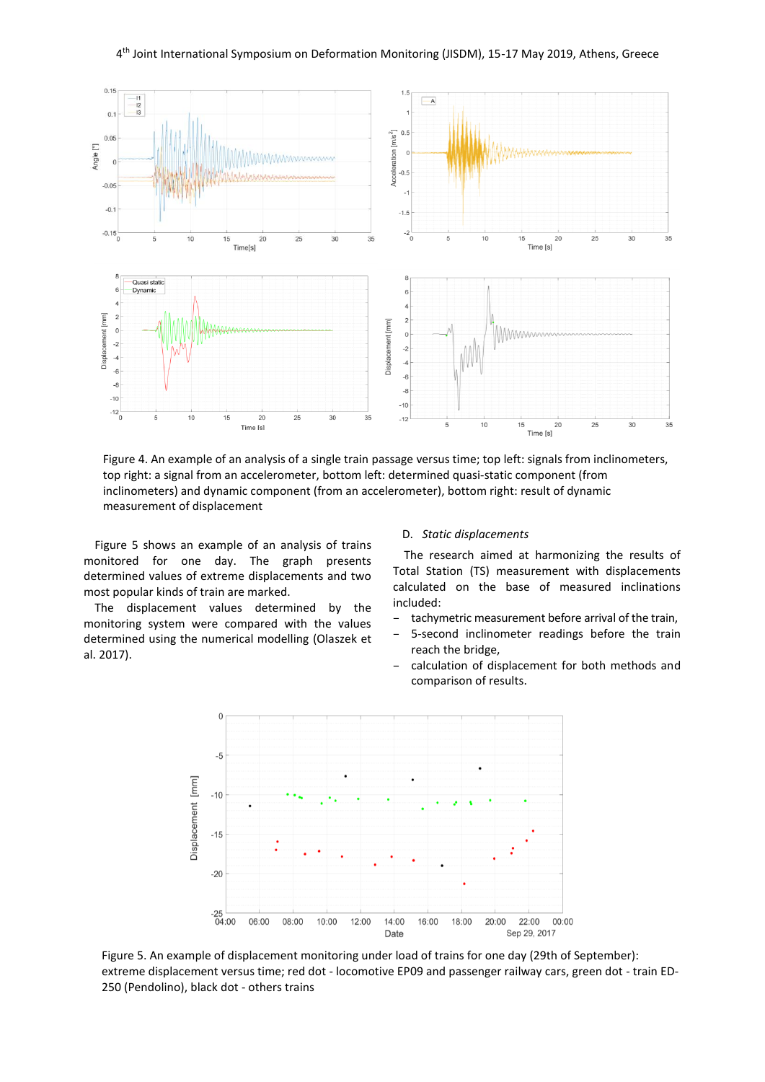

Figure 4. An example of an analysis of a single train passage versus time; top left: signals from inclinometers, top right: a signal from an accelerometer, bottom left: determined quasi-static component (from inclinometers) and dynamic component (from an accelerometer), bottom right: result of dynamic measurement of displacement

Figure 5 shows an example of an analysis of trains monitored for one day. The graph presents determined values of extreme displacements and two most popular kinds of train are marked.

The displacement values determined by the monitoring system were compared with the values determined using the numerical modelling (Olaszek et al. 2017).

#### D. *Static displacements*

The research aimed at harmonizing the results of Total Station (TS) measurement with displacements calculated on the base of measured inclinations included:

- tachymetric measurement before arrival of the train,
- 5-second inclinometer readings before the train reach the bridge,
- calculation of displacement for both methods and comparison of results.



Figure 5. An example of displacement monitoring under load of trains for one day (29th of September): extreme displacement versus time; red dot - locomotive EP09 and passenger railway cars, green dot - train ED-250 (Pendolino), black dot - others trains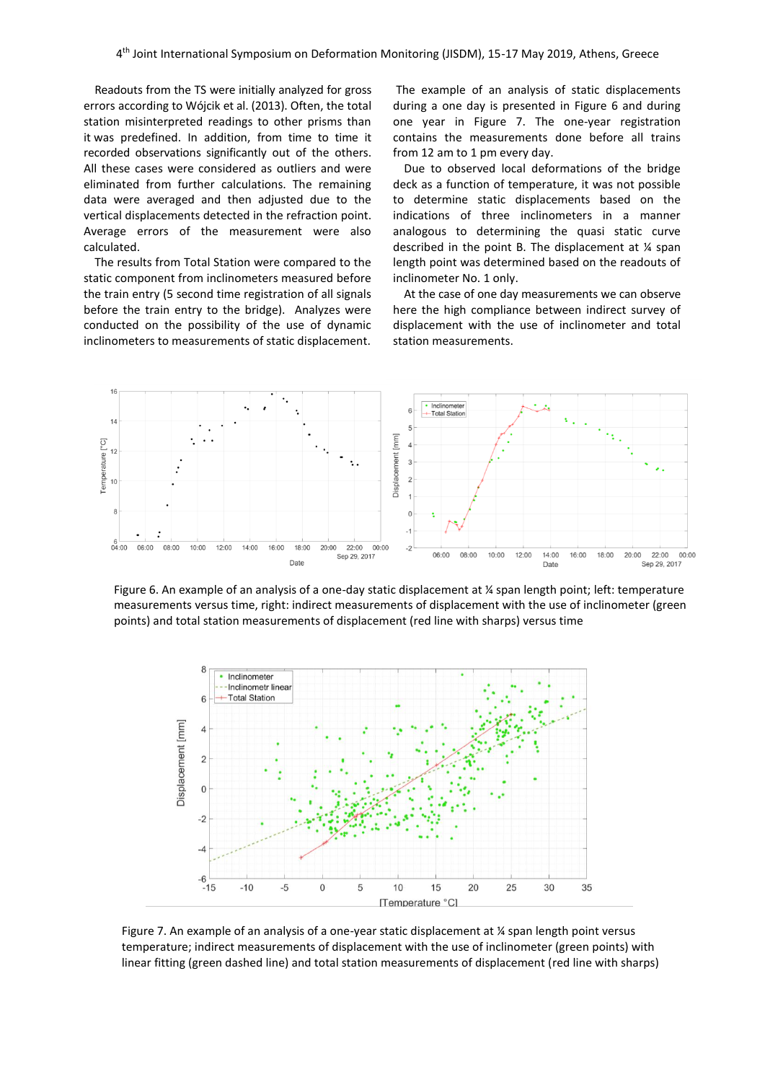Readouts from the TS were initially analyzed for gross errors according to Wójcik et al. (2013). Often, the total station misinterpreted readings to other prisms than it was predefined. In addition, from time to time it recorded observations significantly out of the others. All these cases were considered as outliers and were eliminated from further calculations. The remaining data were averaged and then adjusted due to the vertical displacements detected in the refraction point. Average errors of the measurement were also calculated.

The results from Total Station were compared to the static component from inclinometers measured before the train entry (5 second time registration of all signals before the train entry to the bridge). Analyzes were conducted on the possibility of the use of dynamic inclinometers to measurements of static displacement.

The example of an analysis of static displacements during a one day is presented in Figure 6 and during one year in Figure 7. The one-year registration contains the measurements done before all trains from 12 am to 1 pm every day.

Due to observed local deformations of the bridge deck as a function of temperature, it was not possible to determine static displacements based on the indications of three inclinometers in a manner analogous to determining the quasi static curve described in the point B. The displacement at ¼ span length point was determined based on the readouts of inclinometer No. 1 only.

At the case of one day measurements we can observe here the high compliance between indirect survey of displacement with the use of inclinometer and total station measurements.



Figure 6. An example of an analysis of a one-day static displacement at ¼ span length point; left: temperature measurements versus time, right: indirect measurements of displacement with the use of inclinometer (green points) and total station measurements of displacement (red line with sharps) versus time



Figure 7. An example of an analysis of a one-year static displacement at ¼ span length point versus temperature; indirect measurements of displacement with the use of inclinometer (green points) with linear fitting (green dashed line) and total station measurements of displacement (red line with sharps)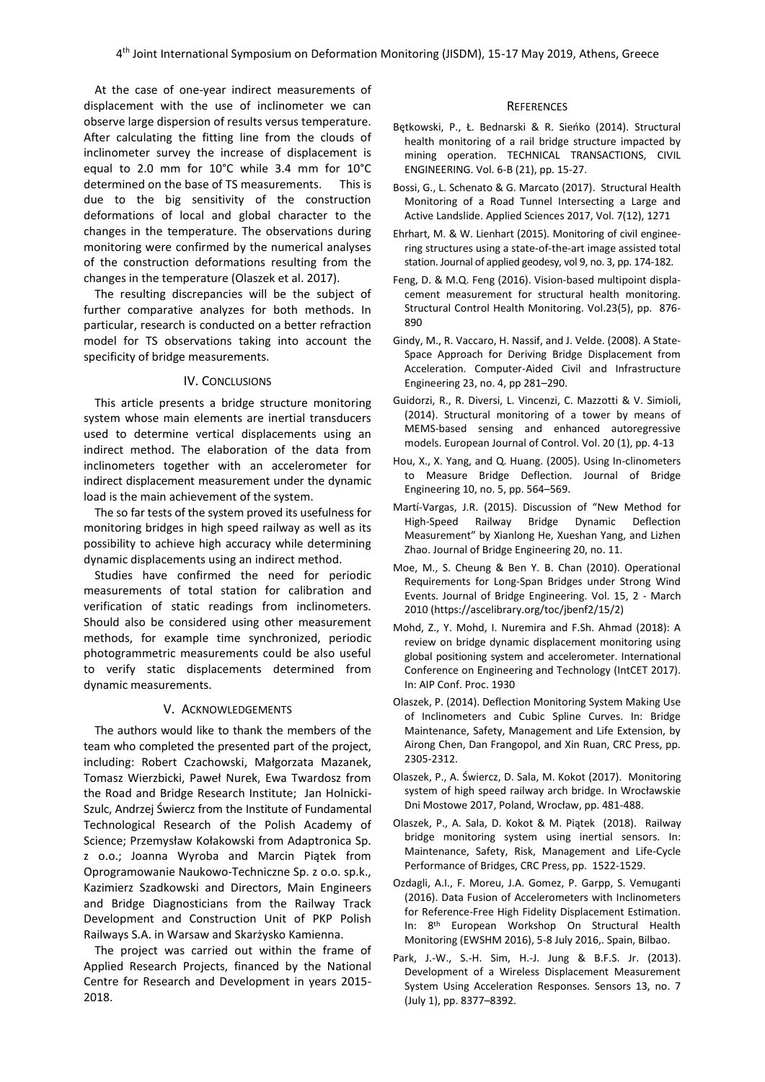At the case of one-year indirect measurements of displacement with the use of inclinometer we can observe large dispersion of results versus temperature. After calculating the fitting line from the clouds of inclinometer survey the increase of displacement is equal to 2.0 mm for 10°C while 3.4 mm for 10°C determined on the base of TS measurements. This is due to the big sensitivity of the construction deformations of local and global character to the changes in the temperature. The observations during monitoring were confirmed by the numerical analyses of the construction deformations resulting from the changes in the temperature (Olaszek et al. 2017).

The resulting discrepancies will be the subject of further comparative analyzes for both methods. In particular, research is conducted on a better refraction model for TS observations taking into account the specificity of bridge measurements.

#### IV. CONCLUSIONS

This article presents a bridge structure monitoring system whose main elements are inertial transducers used to determine vertical displacements using an indirect method. The elaboration of the data from inclinometers together with an accelerometer for indirect displacement measurement under the dynamic load is the main achievement of the system.

The so far tests of the system proved its usefulness for monitoring bridges in high speed railway as well as its possibility to achieve high accuracy while determining dynamic displacements using an indirect method.

Studies have confirmed the need for periodic measurements of total station for calibration and verification of static readings from inclinometers. Should also be considered using other measurement methods, for example time synchronized, periodic photogrammetric measurements could be also useful to verify static displacements determined from dynamic measurements.

## V. ACKNOWLEDGEMENTS

The authors would like to thank the members of the team who completed the presented part of the project, including: Robert Czachowski, Małgorzata Mazanek, Tomasz Wierzbicki, Paweł Nurek, Ewa Twardosz from the Road and Bridge Research Institute; Jan Holnicki-Szulc, Andrzej Świercz from the Institute of Fundamental Technological Research of the Polish Academy of Science; Przemysław Kołakowski from Adaptronica Sp. z o.o.; Joanna Wyroba and Marcin Piątek from Oprogramowanie Naukowo-Techniczne Sp. z o.o. sp.k., Kazimierz Szadkowski and Directors, Main Engineers and Bridge Diagnosticians from the Railway Track Development and Construction Unit of PKP Polish Railways S.A. in Warsaw and Skarżysko Kamienna.

The project was carried out within the frame of Applied Research Projects, financed by the National Centre for Research and Development in years 2015- 2018.

#### **REFERENCES**

- Bętkowski, P., Ł. Bednarski & R. Sieńko (2014). Structural health monitoring of a rail bridge structure impacted by mining operation. TECHNICAL TRANSACTIONS, CIVIL ENGINEERING. Vol. 6-B (21), pp. 15-27.
- Bossi, G., L. Schenato & G. Marcato (2017). Structural Health Monitoring of a Road Tunnel Intersecting a Large and Active Landslide. Applied Sciences 2017, Vol. 7(12), 1271
- Ehrhart, M. & W. Lienhart (2015). Monitoring of civil engineering structures using a state-of-the-art image assisted total station. Journal of applied geodesy, vol 9, no. 3, pp. 174-182.
- Feng, D. & M.Q. Feng (2016). Vision‐based multipoint displacement measurement for structural health monitoring. Structural Control Health Monitoring. Vol.23(5), pp. 876- 890
- Gindy, M., R. Vaccaro, H. Nassif, and J. Velde. (2008). A State-Space Approach for Deriving Bridge Displacement from Acceleration. Computer-Aided Civil and Infrastructure Engineering 23, no. 4, pp 281–290.
- Guidorzi, R., R. Diversi, L. Vincenzi, C. Mazzotti & V. Simioli, (2014). Structural monitoring of a tower by means of MEMS-based sensing and enhanced autoregressive models. European Journal of Control. Vol. 20 (1), pp. 4-13
- Hou, X., X. Yang, and Q. Huang. (2005). Using In-clinometers to Measure Bridge Deflection. Journal of Bridge Engineering 10, no. 5, pp. 564–569.
- Martí-Vargas, J.R. (2015). Discussion of "New Method for High-Speed Railway Bridge Dynamic Deflection Measurement" by Xianlong He, Xueshan Yang, and Lizhen Zhao. Journal of Bridge Engineering 20, no. 11.
- Moe, M., S. Cheung & Ben Y. B. Chan (2010). Operational Requirements for Long-Span Bridges under Strong Wind Events. Journal of Bridge Engineering. Vol. 15, 2 - March 2010 (https://ascelibrary.org/toc/jbenf2/15/2)
- Mohd, Z., Y. Mohd, I. Nuremira and F.Sh. Ahmad (2018): A review on bridge dynamic displacement monitoring using global positioning system and accelerometer. International Conference on Engineering and Technology (IntCET 2017). In: AIP Conf. Proc. 1930
- Olaszek, P. (2014). Deflection Monitoring System Making Use of Inclinometers and Cubic Spline Curves. In: Bridge Maintenance, Safety, Management and Life Extension, by Airong Chen, Dan Frangopol, and Xin Ruan, CRC Press, pp. 2305-2312.
- Olaszek, P., A. Świercz, D. Sala, M. Kokot (2017). Monitoring system of high speed railway arch bridge. In Wrocławskie Dni Mostowe 2017, Poland, Wrocław, pp. 481-488.
- Olaszek, P., A. Sala, D. Kokot & M. Piątek (2018). Railway bridge monitoring system using inertial sensors. In: Maintenance, Safety, Risk, Management and Life-Cycle Performance of Bridges, CRC Press, pp. 1522-1529.
- Ozdagli, A.I., F. Moreu, J.A. Gomez, P. Garpp, S. Vemuganti (2016). Data Fusion of Accelerometers with Inclinometers for Reference-Free High Fidelity Displacement Estimation. In: 8th European Workshop On Structural Health Monitoring (EWSHM 2016), 5-8 July 2016,. Spain, Bilbao.
- Park, J.-W., S.-H. Sim, H.-J. Jung & B.F.S. Jr. (2013). Development of a Wireless Displacement Measurement System Using Acceleration Responses. Sensors 13, no. 7 (July 1), pp. 8377–8392.